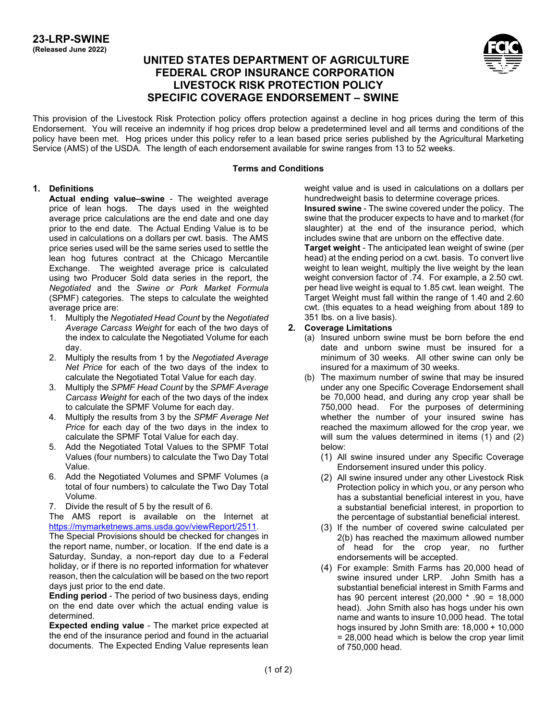# **UNITED STATES DEPARTMENT OF AGRICULTURE FEDERAL CROP INSURANCE CORPORATION LIVESTOCK RISK PROTECTION POLICY SPECIFIC COVERAGE ENDORSEMENT – SWINE**



This provision of the Livestock Risk Protection policy offers protection against a decline in hog prices during the term of this Endorsement. You will receive an indemnity if hog prices drop below a predetermined level and all terms and conditions of the policy have been met. Hog prices under this policy refer to a lean based price series published by the Agricultural Marketing Service (AMS) of the USDA. The length of each endorsement available for swine ranges from 13 to 52 weeks.

#### **Terms and Conditions**

### **1. Definitions**

**Actual ending value–swine** - The weighted average price of lean hogs. The days used in the weighted average price calculations are the end date and one day prior to the end date. The Actual Ending Value is to be used in calculations on a dollars per cwt. basis. The AMS price series used will be the same series used to settle the lean hog futures contract at the Chicago Mercantile Exchange. The weighted average price is calculated using two Producer Sold data series in the report, the *Negotiated* and the *Swine or Pork Market Formula* (SPMF) categories. The steps to calculate the weighted average price are:

- 1. Multiply the *Negotiated Head Count* by the *Negotiated Average Carcass Weight* for each of the two days of the index to calculate the Negotiated Volume for each day.
- 2. Multiply the results from 1 by the *Negotiated Average Net Price* for each of the two days of the index to calculate the Negotiated Total Value for each day.
- 3. Multiply the *SPMF Head Count* by the *SPMF Average Carcass Weight* for each of the two days of the index to calculate the SPMF Volume for each day.
- 4. Multiply the results from 3 by the *SPMF Average Net Price* for each day of the two days in the index to calculate the SPMF Total Value for each day.
- 5. Add the Negotiated Total Values to the SPMF Total Values (four numbers) to calculate the Two Day Total Value.
- 6. Add the Negotiated Volumes and SPMF Volumes (a total of four numbers) to calculate the Two Day Total Volume.
- 7. Divide the result of 5 by the result of 6.

The AMS report is available on the Internet at [https://mymarketnews.ams.usda.gov/viewReport/2511.](https://gcc02.safelinks.protection.outlook.com/?url=https%3A%2F%2Fmymarketnews.ams.usda.gov%2FviewReport%2F2511&data=04%7C01%7C%7C88a882faa4a64713d49208d8b3378c5e%7Ced5b36e701ee4ebc867ee03cfa0d4697%7C0%7C0%7C637456398453900598%7CUnknown%7CTWFpbGZsb3d8eyJWIjoiMC4wLjAwMDAiLCJQIjoiV2luMzIiLCJBTiI6Ik1haWwiLCJXVCI6Mn0%3D%7C1000&sdata=ySt56SKmPUDiiyXLtOknOhtJbPMlfQbGLbFR3v9VLyk%3D&reserved=0)

The Special Provisions should be checked for changes in the report name, number, or location. If the end date is a Saturday, Sunday, a non-report day due to a Federal holiday, or if there is no reported information for whatever reason, then the calculation will be based on the two report days just prior to the end date.

**Ending period** - The period of two business days, ending on the end date over which the actual ending value is determined.

**Expected ending value** - The market price expected at the end of the insurance period and found in the actuarial documents. The Expected Ending Value represents lean weight value and is used in calculations on a dollars per hundredweight basis to determine coverage prices.

**Insured swine** - The swine covered under the policy. The swine that the producer expects to have and to market (for slaughter) at the end of the insurance period, which includes swine that are unborn on the effective date.

**Target weight** - The anticipated lean weight of swine (per head) at the ending period on a cwt. basis. To convert live weight to lean weight, multiply the live weight by the lean weight conversion factor of .74. For example, a 2.50 cwt. per head live weight is equal to 1.85 cwt. lean weight. The Target Weight must fall within the range of 1.40 and 2.60 cwt. (this equates to a head weighing from about 189 to 351 lbs. on a live basis).

### **2. Coverage Limitations**

- (a) Insured unborn swine must be born before the end date and unborn swine must be insured for a minimum of 30 weeks. All other swine can only be insured for a maximum of 30 weeks.
- <span id="page-0-0"></span>(b) The maximum number of swine that may be insured under any one Specific Coverage Endorsement shall be 70,000 head, and during any crop year shall be 750,000 head. For the purposes of determining whether the number of your insured swine has reached the maximum allowed for the crop year, we will sum the values determined in items (1) and (2) below:
	- (1) All swine insured under any Specific Coverage Endorsement insured under this policy.
	- (2) All swine insured under any other Livestock Risk Protection policy in which you, or any person who has a substantial beneficial interest in you, have a substantial beneficial interest, in proportion to the percentage of substantial beneficial interest.
	- (3) If the number of covered swine calculated per [2\(b\)](#page-0-0) has reached the maximum allowed number of head for the crop year, no further endorsements will be accepted.
	- (4) For example: Smith Farms has 20,000 head of swine insured under LRP. John Smith has a substantial beneficial interest in Smith Farms and has 90 percent interest (20,000 \* .90 = 18,000 head). John Smith also has hogs under his own name and wants to insure 10,000 head. The total hogs insured by John Smith are: 18,000 + 10,000  $= 28,000$  head which is below the crop year limit of 750,000 head.